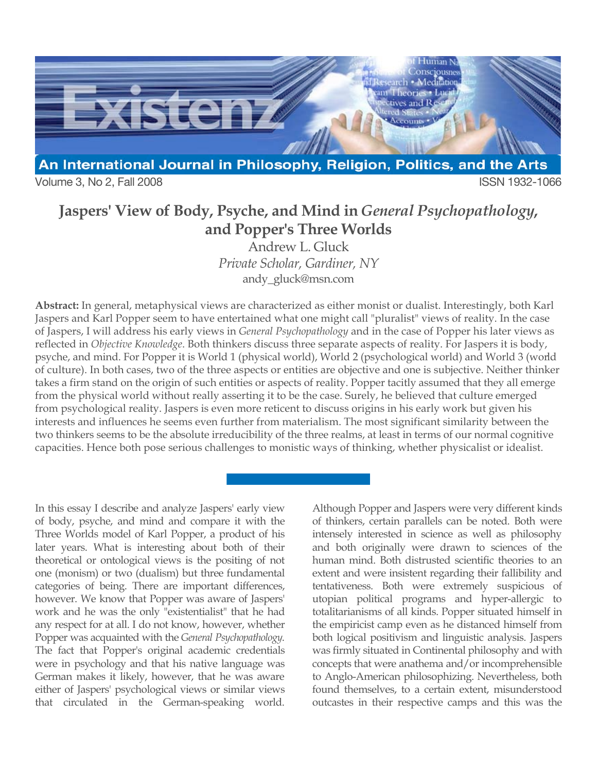

Volume 3, No 2, Fall 2008 ISSN 1932-1066

# **Jaspers' View of Body, Psyche, and Mind in** *General Psychopathology***, and Popper's Three Worlds**

Andrew L. Gluck *Private Scholar, Gardiner, NY* andy\_gluck@msn.com

**Abstract:** In general, metaphysical views are characterized as either monist or dualist. Interestingly, both Karl Jaspers and Karl Popper seem to have entertained what one might call "pluralist" views of reality. In the case of Jaspers, I will address his early views in *General Psychopathology* and in the case of Popper his later views as reflected in *Objective Knowledge*. Both thinkers discuss three separate aspects of reality. For Jaspers it is body, psyche, and mind. For Popper it is World 1 (physical world), World 2 (psychological world) and World 3 (world of culture). In both cases, two of the three aspects or entities are objective and one is subjective. Neither thinker takes a firm stand on the origin of such entities or aspects of reality. Popper tacitly assumed that they all emerge from the physical world without really asserting it to be the case. Surely, he believed that culture emerged from psychological reality. Jaspers is even more reticent to discuss origins in his early work but given his interests and influences he seems even further from materialism. The most significant similarity between the two thinkers seems to be the absolute irreducibility of the three realms, at least in terms of our normal cognitive capacities. Hence both pose serious challenges to monistic ways of thinking, whether physicalist or idealist.

In this essay I describe and analyze Jaspers' early view of body, psyche, and mind and compare it with the Three Worlds model of Karl Popper, a product of his later years. What is interesting about both of their theoretical or ontological views is the positing of not one (monism) or two (dualism) but three fundamental categories of being. There are important differences, however. We know that Popper was aware of Jaspers' work and he was the only "existentialist" that he had any respect for at all. I do not know, however, whether Popper was acquainted with the *General Psychopathology*. The fact that Popper's original academic credentials were in psychology and that his native language was German makes it likely, however, that he was aware either of Jaspers' psychological views or similar views that circulated in the German-speaking world.

Although Popper and Jaspers were very different kinds of thinkers, certain parallels can be noted. Both were intensely interested in science as well as philosophy and both originally were drawn to sciences of the human mind. Both distrusted scientific theories to an extent and were insistent regarding their fallibility and tentativeness. Both were extremely suspicious of utopian political programs and hyper-allergic to totalitarianisms of all kinds. Popper situated himself in the empiricist camp even as he distanced himself from both logical positivism and linguistic analysis. Jaspers was firmly situated in Continental philosophy and with concepts that were anathema and/or incomprehensible to Anglo-American philosophizing. Nevertheless, both found themselves, to a certain extent, misunderstood outcastes in their respective camps and this was the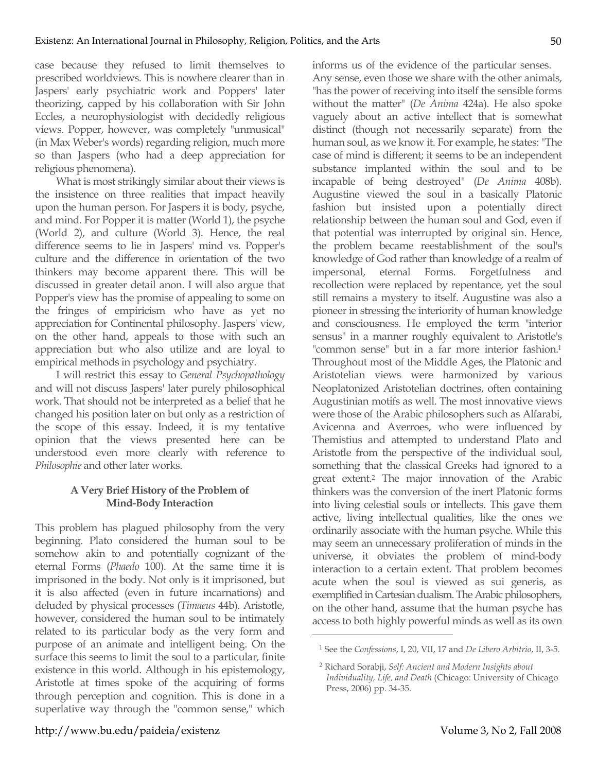case because they refused to limit themselves to prescribed worldviews. This is nowhere clearer than in Jaspers' early psychiatric work and Poppers' later theorizing, capped by his collaboration with Sir John Eccles, a neurophysiologist with decidedly religious views. Popper, however, was completely "unmusical" (in Max Weber's words) regarding religion, much more so than Jaspers (who had a deep appreciation for religious phenomena).

What is most strikingly similar about their views is the insistence on three realities that impact heavily upon the human person. For Jaspers it is body, psyche, and mind. For Popper it is matter (World 1), the psyche (World 2), and culture (World 3). Hence, the real difference seems to lie in Jaspers' mind vs. Popper's culture and the difference in orientation of the two thinkers may become apparent there. This will be discussed in greater detail anon. I will also argue that Popper's view has the promise of appealing to some on the fringes of empiricism who have as yet no appreciation for Continental philosophy. Jaspers' view, on the other hand, appeals to those with such an appreciation but who also utilize and are loyal to empirical methods in psychology and psychiatry.

I will restrict this essay to *General Psychopathology* and will not discuss Jaspers' later purely philosophical work. That should not be interpreted as a belief that he changed his position later on but only as a restriction of the scope of this essay. Indeed, it is my tentative opinion that the views presented here can be understood even more clearly with reference to *Philosophie* and other later works.

## **A Very Brief History of the Problem of Mind-Body Interaction**

This problem has plagued philosophy from the very beginning. Plato considered the human soul to be somehow akin to and potentially cognizant of the eternal Forms (*Phaedo* 100). At the same time it is imprisoned in the body. Not only is it imprisoned, but it is also affected (even in future incarnations) and deluded by physical processes (*Timaeus* 44b). Aristotle, however, considered the human soul to be intimately related to its particular body as the very form and purpose of an animate and intelligent being. On the surface this seems to limit the soul to a particular, finite existence in this world. Although in his epistemology, Aristotle at times spoke of the acquiring of forms through perception and cognition. This is done in a superlative way through the "common sense," which informs us of the evidence of the particular senses. Any sense, even those we share with the other animals, "has the power of receiving into itself the sensible forms without the matter" (*De Anima* 424a). He also spoke vaguely about an active intellect that is somewhat distinct (though not necessarily separate) from the human soul, as we know it. For example, he states: "The case of mind is different; it seems to be an independent substance implanted within the soul and to be incapable of being destroyed" (*De Anima* 408b). Augustine viewed the soul in a basically Platonic fashion but insisted upon a potentially direct relationship between the human soul and God, even if that potential was interrupted by original sin. Hence, the problem became reestablishment of the soul's knowledge of God rather than knowledge of a realm of impersonal, eternal Forms. Forgetfulness and recollection were replaced by repentance, yet the soul still remains a mystery to itself. Augustine was also a pioneer in stressing the interiority of human knowledge and consciousness. He employed the term "interior sensus" in a manner roughly equivalent to Aristotle's "common sense" but in a far more interior fashion.1 Throughout most of the Middle Ages, the Platonic and Aristotelian views were harmonized by various Neoplatonized Aristotelian doctrines, often containing Augustinian motifs as well. The most innovative views were those of the Arabic philosophers such as Alfarabi, Avicenna and Averroes, who were influenced by Themistius and attempted to understand Plato and Aristotle from the perspective of the individual soul, something that the classical Greeks had ignored to a great extent.2 The major innovation of the Arabic thinkers was the conversion of the inert Platonic forms into living celestial souls or intellects. This gave them active, living intellectual qualities, like the ones we ordinarily associate with the human psyche. While this may seem an unnecessary proliferation of minds in the universe, it obviates the problem of mind-body interaction to a certain extent. That problem becomes acute when the soul is viewed as sui generis, as exemplified in Cartesian dualism. The Arabic philosophers, on the other hand, assume that the human psyche has access to both highly powerful minds as well as its own

<sup>1</sup> See the *Confessions*, I, 20, VII, 17 and *De Libero Arbitrio*, II, 3-5.

<sup>2</sup> Richard Sorabji, *Self: Ancient and Modern Insights about* 

*Individuality, Life, and Death* (Chicago: University of Chicago Press, 2006) pp. 34-35.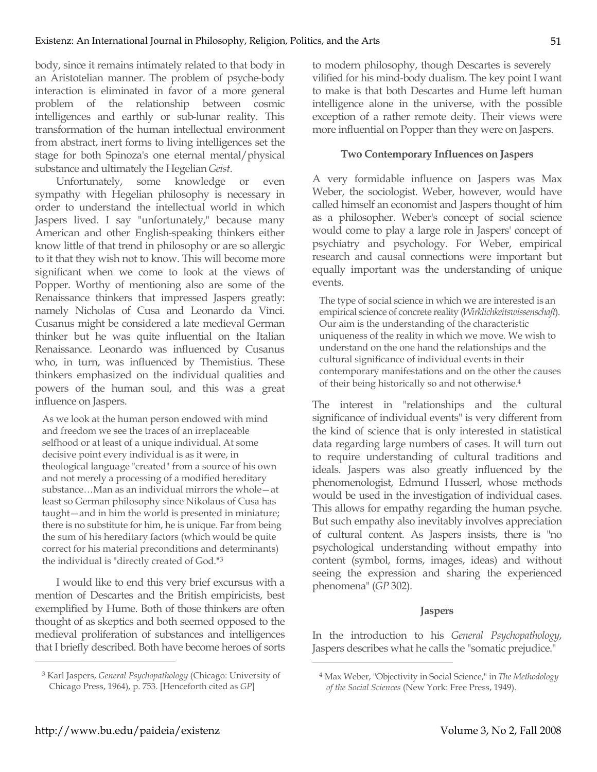body, since it remains intimately related to that body in an Aristotelian manner. The problem of psyche-body interaction is eliminated in favor of a more general problem of the relationship between cosmic intelligences and earthly or sub-lunar reality. This transformation of the human intellectual environment from abstract, inert forms to living intelligences set the stage for both Spinoza's one eternal mental/physical substance and ultimately the Hegelian *Geist*.

Unfortunately, some knowledge or even sympathy with Hegelian philosophy is necessary in order to understand the intellectual world in which Jaspers lived. I say "unfortunately," because many American and other English-speaking thinkers either know little of that trend in philosophy or are so allergic to it that they wish not to know. This will become more significant when we come to look at the views of Popper. Worthy of mentioning also are some of the Renaissance thinkers that impressed Jaspers greatly: namely Nicholas of Cusa and Leonardo da Vinci. Cusanus might be considered a late medieval German thinker but he was quite influential on the Italian Renaissance. Leonardo was influenced by Cusanus who, in turn, was influenced by Themistius. These thinkers emphasized on the individual qualities and powers of the human soul, and this was a great influence on Jaspers.

As we look at the human person endowed with mind and freedom we see the traces of an irreplaceable selfhood or at least of a unique individual. At some decisive point every individual is as it were, in theological language "created" from a source of his own and not merely a processing of a modified hereditary substance…Man as an individual mirrors the whole—at least so German philosophy since Nikolaus of Cusa has taught—and in him the world is presented in miniature; there is no substitute for him, he is unique. Far from being the sum of his hereditary factors (which would be quite correct for his material preconditions and determinants) the individual is "directly created of God.**"**<sup>3</sup>

I would like to end this very brief excursus with a mention of Descartes and the British empiricists, best exemplified by Hume. Both of those thinkers are often thought of as skeptics and both seemed opposed to the medieval proliferation of substances and intelligences that I briefly described. Both have become heroes of sorts to modern philosophy, though Descartes is severely vilified for his mind-body dualism. The key point I want to make is that both Descartes and Hume left human intelligence alone in the universe, with the possible exception of a rather remote deity. Their views were more influential on Popper than they were on Jaspers.

#### **Two Contemporary Influences on Jaspers**

A very formidable influence on Jaspers was Max Weber, the sociologist. Weber, however, would have called himself an economist and Jaspers thought of him as a philosopher. Weber's concept of social science would come to play a large role in Jaspers' concept of psychiatry and psychology. For Weber, empirical research and causal connections were important but equally important was the understanding of unique events.

The type of social science in which we are interested is an empirical science of concrete reality (*Wirklichkeitswissenschaft*). Our aim is the understanding of the characteristic uniqueness of the reality in which we move. We wish to understand on the one hand the relationships and the cultural significance of individual events in their contemporary manifestations and on the other the causes of their being historically so and not otherwise.4

The interest in "relationships and the cultural significance of individual events" is very different from the kind of science that is only interested in statistical data regarding large numbers of cases. It will turn out to require understanding of cultural traditions and ideals. Jaspers was also greatly influenced by the phenomenologist, Edmund Husserl, whose methods would be used in the investigation of individual cases. This allows for empathy regarding the human psyche. But such empathy also inevitably involves appreciation of cultural content. As Jaspers insists, there is "no psychological understanding without empathy into content (symbol, forms, images, ideas) and without seeing the expression and sharing the experienced phenomena" (*GP* 302).

#### **Jaspers**

In the introduction to his *General Psychopathology*, Jaspers describes what he calls the "somatic prejudice."

 $\overline{a}$ 

<sup>3</sup> Karl Jaspers, *General Psychopathology* (Chicago: University of Chicago Press, 1964), p. 753. [Henceforth cited as *GP*]

<sup>4</sup> Max Weber, "Objectivity in Social Science," in *The Methodology of the Social Sciences* (New York: Free Press, 1949).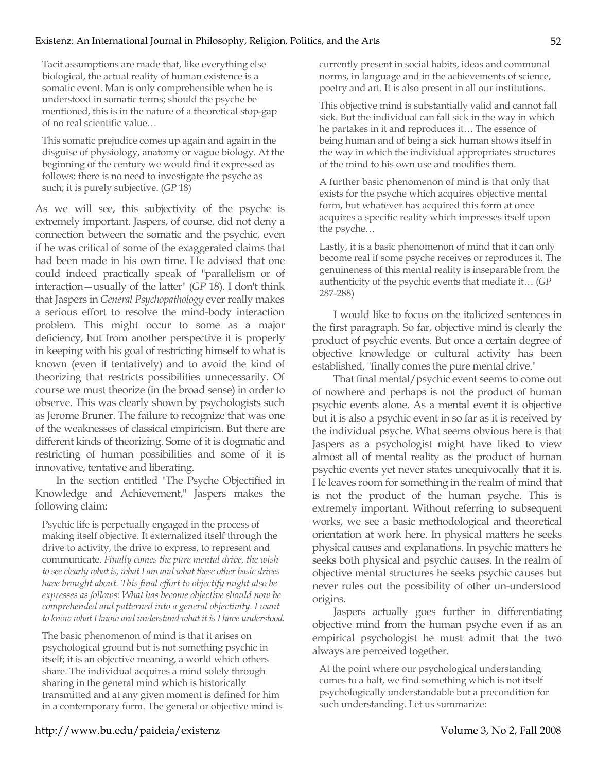Tacit assumptions are made that, like everything else biological, the actual reality of human existence is a somatic event. Man is only comprehensible when he is understood in somatic terms; should the psyche be mentioned, this is in the nature of a theoretical stop-gap of no real scientific value…

This somatic prejudice comes up again and again in the disguise of physiology, anatomy or vague biology. At the beginning of the century we would find it expressed as follows: there is no need to investigate the psyche as such; it is purely subjective. (*GP* 18)

As we will see, this subjectivity of the psyche is extremely important. Jaspers, of course, did not deny a connection between the somatic and the psychic, even if he was critical of some of the exaggerated claims that had been made in his own time. He advised that one could indeed practically speak of "parallelism or of interaction—usually of the latter" (*GP* 18). I don't think that Jaspers in *General Psychopathology* ever really makes a serious effort to resolve the mind-body interaction problem. This might occur to some as a major deficiency, but from another perspective it is properly in keeping with his goal of restricting himself to what is known (even if tentatively) and to avoid the kind of theorizing that restricts possibilities unnecessarily. Of course we must theorize (in the broad sense) in order to observe. This was clearly shown by psychologists such as Jerome Bruner. The failure to recognize that was one of the weaknesses of classical empiricism. But there are different kinds of theorizing. Some of it is dogmatic and restricting of human possibilities and some of it is innovative, tentative and liberating.

In the section entitled "The Psyche Objectified in Knowledge and Achievement," Jaspers makes the following claim:

Psychic life is perpetually engaged in the process of making itself objective. It externalized itself through the drive to activity, the drive to express, to represent and communicate. *Finally comes the pure mental drive, the wish to see clearly what is, what I am and what these other basic drives have brought about. This final effort to objectify might also be expresses as follows: What has become objective should now be comprehended and patterned into a general objectivity. I want to know what I know and understand what it is I have understood.*

The basic phenomenon of mind is that it arises on psychological ground but is not something psychic in itself; it is an objective meaning, a world which others share. The individual acquires a mind solely through sharing in the general mind which is historically transmitted and at any given moment is defined for him in a contemporary form. The general or objective mind is currently present in social habits, ideas and communal norms, in language and in the achievements of science, poetry and art. It is also present in all our institutions.

This objective mind is substantially valid and cannot fall sick. But the individual can fall sick in the way in which he partakes in it and reproduces it… The essence of being human and of being a sick human shows itself in the way in which the individual appropriates structures of the mind to his own use and modifies them.

A further basic phenomenon of mind is that only that exists for the psyche which acquires objective mental form, but whatever has acquired this form at once acquires a specific reality which impresses itself upon the psyche…

Lastly, it is a basic phenomenon of mind that it can only become real if some psyche receives or reproduces it. The genuineness of this mental reality is inseparable from the authenticity of the psychic events that mediate it… (*GP* 287-288)

I would like to focus on the italicized sentences in the first paragraph. So far, objective mind is clearly the product of psychic events. But once a certain degree of objective knowledge or cultural activity has been established, "finally comes the pure mental drive."

That final mental/psychic event seems to come out of nowhere and perhaps is not the product of human psychic events alone. As a mental event it is objective but it is also a psychic event in so far as it is received by the individual psyche. What seems obvious here is that Jaspers as a psychologist might have liked to view almost all of mental reality as the product of human psychic events yet never states unequivocally that it is. He leaves room for something in the realm of mind that is not the product of the human psyche. This is extremely important. Without referring to subsequent works, we see a basic methodological and theoretical orientation at work here. In physical matters he seeks physical causes and explanations. In psychic matters he seeks both physical and psychic causes. In the realm of objective mental structures he seeks psychic causes but never rules out the possibility of other un-understood origins.

Jaspers actually goes further in differentiating objective mind from the human psyche even if as an empirical psychologist he must admit that the two always are perceived together.

At the point where our psychological understanding comes to a halt, we find something which is not itself psychologically understandable but a precondition for such understanding. Let us summarize: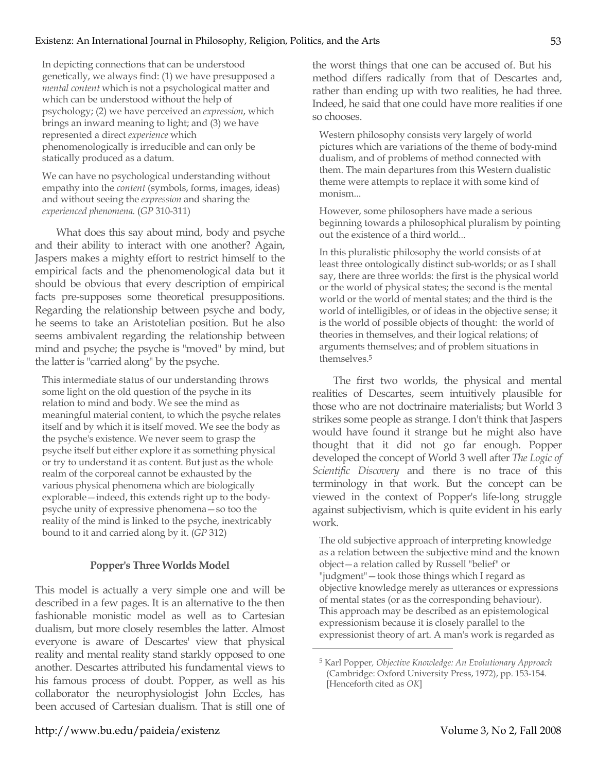In depicting connections that can be understood genetically, we always find: (1) we have presupposed a *mental content* which is not a psychological matter and which can be understood without the help of psychology; (2) we have perceived an *expression*, which brings an inward meaning to light; and (3) we have represented a direct *experience* which phenomenologically is irreducible and can only be statically produced as a datum.

We can have no psychological understanding without empathy into the *content* (symbols, forms, images, ideas) and without seeing the *expression* and sharing the *experienced phenomena*. (*GP* 310-311)

What does this say about mind, body and psyche and their ability to interact with one another? Again, Jaspers makes a mighty effort to restrict himself to the empirical facts and the phenomenological data but it should be obvious that every description of empirical facts pre-supposes some theoretical presuppositions. Regarding the relationship between psyche and body, he seems to take an Aristotelian position. But he also seems ambivalent regarding the relationship between mind and psyche; the psyche is "moved" by mind, but the latter is "carried along" by the psyche.

This intermediate status of our understanding throws some light on the old question of the psyche in its relation to mind and body. We see the mind as meaningful material content, to which the psyche relates itself and by which it is itself moved. We see the body as the psyche's existence. We never seem to grasp the psyche itself but either explore it as something physical or try to understand it as content. But just as the whole realm of the corporeal cannot be exhausted by the various physical phenomena which are biologically explorable—indeed, this extends right up to the bodypsyche unity of expressive phenomena—so too the reality of the mind is linked to the psyche, inextricably bound to it and carried along by it. (*GP* 312)

## **Popper's Three Worlds Model**

This model is actually a very simple one and will be described in a few pages. It is an alternative to the then fashionable monistic model as well as to Cartesian dualism, but more closely resembles the latter. Almost everyone is aware of Descartes' view that physical reality and mental reality stand starkly opposed to one another. Descartes attributed his fundamental views to his famous process of doubt. Popper, as well as his collaborator the neurophysiologist John Eccles, has been accused of Cartesian dualism. That is still one of the worst things that one can be accused of. But his method differs radically from that of Descartes and, rather than ending up with two realities, he had three. Indeed, he said that one could have more realities if one so chooses.

Western philosophy consists very largely of world pictures which are variations of the theme of body-mind dualism, and of problems of method connected with them. The main departures from this Western dualistic theme were attempts to replace it with some kind of monism...

However, some philosophers have made a serious beginning towards a philosophical pluralism by pointing out the existence of a third world*...*

In this pluralistic philosophy the world consists of at least three ontologically distinct sub-worlds; or as I shall say, there are three worlds: the first is the physical world or the world of physical states; the second is the mental world or the world of mental states; and the third is the world of intelligibles, or of ideas in the objective sense; it is the world of possible objects of thought: the world of theories in themselves, and their logical relations; of arguments themselves; and of problem situations in themselves.5

The first two worlds, the physical and mental realities of Descartes, seem intuitively plausible for those who are not doctrinaire materialists; but World 3 strikes some people as strange. I don't think that Jaspers would have found it strange but he might also have thought that it did not go far enough. Popper developed the concept of World 3 well after *The Logic of Scientific Discovery* and there is no trace of this terminology in that work. But the concept can be viewed in the context of Popper's life-long struggle against subjectivism, which is quite evident in his early work.

The old subjective approach of interpreting knowledge as a relation between the subjective mind and the known object—a relation called by Russell "belief" or "judgment"—took those things which I regard as objective knowledge merely as utterances or expressions of mental states (or as the corresponding behaviour). This approach may be described as an epistemological expressionism because it is closely parallel to the expressionist theory of art. A man's work is regarded as

<sup>5</sup> Karl Popper*, Objective Knowledge: An Evolutionary Approach* (Cambridge: Oxford University Press, 1972), pp. 153-154. [Henceforth cited as *OK*]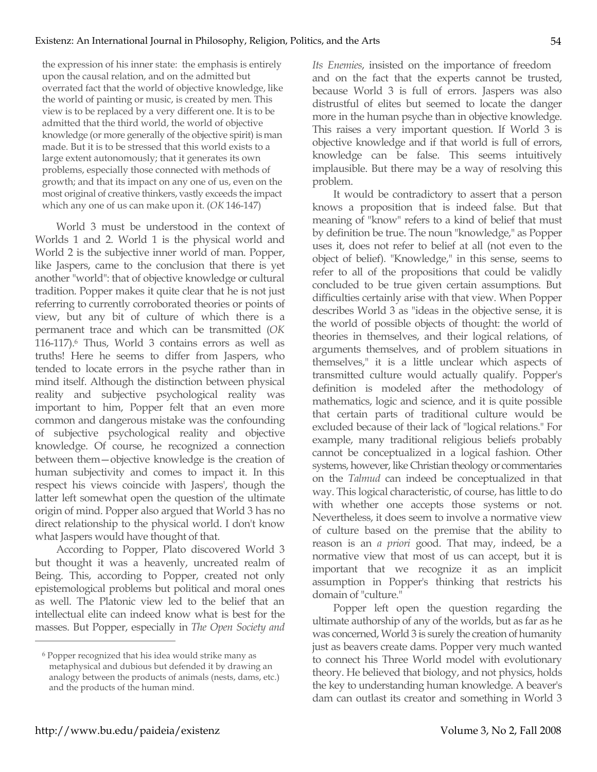the expression of his inner state: the emphasis is entirely upon the causal relation, and on the admitted but overrated fact that the world of objective knowledge, like the world of painting or music, is created by men. This view is to be replaced by a very different one. It is to be admitted that the third world, the world of objective knowledge (or more generally of the objective spirit) is man made. But it is to be stressed that this world exists to a large extent autonomously; that it generates its own problems, especially those connected with methods of growth; and that its impact on any one of us, even on the most original of creative thinkers, vastly exceeds the impact which any one of us can make upon it. (*OK* 146-147)

World 3 must be understood in the context of Worlds 1 and 2. World 1 is the physical world and World 2 is the subjective inner world of man. Popper, like Jaspers, came to the conclusion that there is yet another "world": that of objective knowledge or cultural tradition. Popper makes it quite clear that he is not just referring to currently corroborated theories or points of view, but any bit of culture of which there is a permanent trace and which can be transmitted (*OK* 116-117).6 Thus, World 3 contains errors as well as truths! Here he seems to differ from Jaspers, who tended to locate errors in the psyche rather than in mind itself. Although the distinction between physical reality and subjective psychological reality was important to him, Popper felt that an even more common and dangerous mistake was the confounding of subjective psychological reality and objective knowledge. Of course, he recognized a connection between them—objective knowledge is the creation of human subjectivity and comes to impact it. In this respect his views coincide with Jaspers', though the latter left somewhat open the question of the ultimate origin of mind. Popper also argued that World 3 has no direct relationship to the physical world. I don't know what Jaspers would have thought of that.

According to Popper, Plato discovered World 3 but thought it was a heavenly, uncreated realm of Being. This, according to Popper, created not only epistemological problems but political and moral ones as well. The Platonic view led to the belief that an intellectual elite can indeed know what is best for the masses. But Popper, especially in *The Open Society and*  *Its Enemies*, insisted on the importance of freedom and on the fact that the experts cannot be trusted, because World 3 is full of errors. Jaspers was also distrustful of elites but seemed to locate the danger more in the human psyche than in objective knowledge. This raises a very important question. If World 3 is objective knowledge and if that world is full of errors, knowledge can be false. This seems intuitively implausible. But there may be a way of resolving this problem.

It would be contradictory to assert that a person knows a proposition that is indeed false. But that meaning of "know" refers to a kind of belief that must by definition be true. The noun "knowledge," as Popper uses it, does not refer to belief at all (not even to the object of belief). "Knowledge," in this sense, seems to refer to all of the propositions that could be validly concluded to be true given certain assumptions*.* But difficulties certainly arise with that view. When Popper describes World 3 as "ideas in the objective sense, it is the world of possible objects of thought: the world of theories in themselves, and their logical relations, of arguments themselves, and of problem situations in themselves," it is a little unclear which aspects of transmitted culture would actually qualify. Popper's definition is modeled after the methodology of mathematics, logic and science, and it is quite possible that certain parts of traditional culture would be excluded because of their lack of "logical relations." For example, many traditional religious beliefs probably cannot be conceptualized in a logical fashion. Other systems, however, like Christian theology or commentaries on the *Talmud* can indeed be conceptualized in that way. This logical characteristic, of course, has little to do with whether one accepts those systems or not. Nevertheless, it does seem to involve a normative view of culture based on the premise that the ability to reason is an *a priori* good. That may, indeed, be a normative view that most of us can accept, but it is important that we recognize it as an implicit assumption in Popper's thinking that restricts his domain of "culture."

Popper left open the question regarding the ultimate authorship of any of the worlds, but as far as he was concerned, World 3 is surely the creation of humanity just as beavers create dams. Popper very much wanted to connect his Three World model with evolutionary theory. He believed that biology, and not physics, holds the key to understanding human knowledge. A beaver's dam can outlast its creator and something in World 3

<sup>6</sup> Popper recognized that his idea would strike many as metaphysical and dubious but defended it by drawing an analogy between the products of animals (nests, dams, etc.) and the products of the human mind.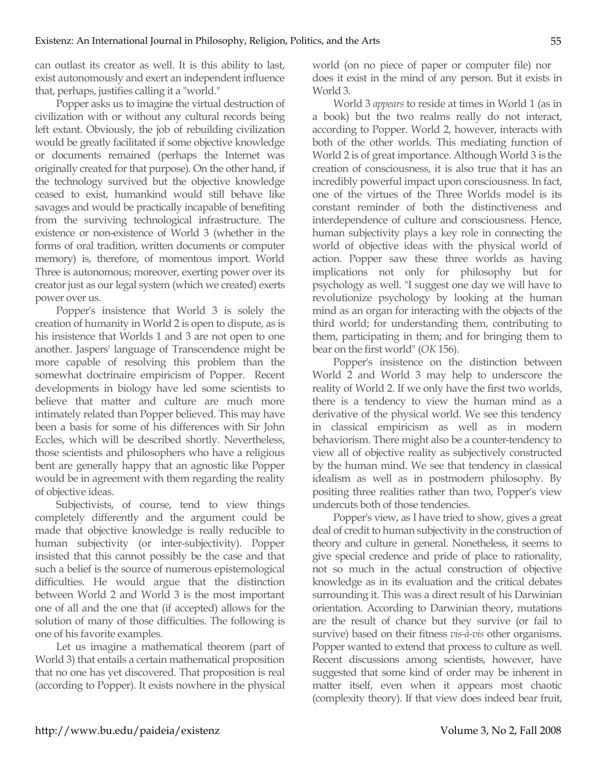can outlast its creator as well. It is this ability to last, exist autonomously and exert an independent influence that, perhaps, justifies calling it a "world."

Popper asks us to imagine the virtual destruction of civilization with or without any cultural records being left extant. Obviously, the job of rebuilding civilization would be greatly facilitated if some objective knowledge or documents remained (perhaps the Internet was originally created for that purpose). On the other hand, if the technology survived but the objective knowledge ceased to exist, humankind would still behave like savages and would be practically incapable of benefiting from the surviving technological infrastructure. The existence or non-existence of World 3 (whether in the forms of oral tradition, written documents or computer memory) is, therefore, of momentous import. World Three is autonomous; moreover, exerting power over its creator just as our legal system (which we created) exerts power over us.

Popper's insistence that World 3 is solely the creation of humanity in World 2 is open to dispute, as is his insistence that Worlds 1 and 3 are not open to one another. Jaspers' language of Transcendence might be more capable of resolving this problem than the somewhat doctrinaire empiricism of Popper. Recent developments in biology have led some scientists to believe that matter and culture are much more intimately related than Popper believed. This may have been a basis for some of his differences with Sir John Eccles, which will be described shortly. Nevertheless, those scientists and philosophers who have a religious bent are generally happy that an agnostic like Popper would be in agreement with them regarding the reality of objective ideas.

Subjectivists, of course, tend to view things completely differently and the argument could be made that objective knowledge is really reducible to human subjectivity (or inter-subjectivity). Popper insisted that this cannot possibly be the case and that such a belief is the source of numerous epistemological difficulties. He would argue that the distinction between World 2 and World 3 is the most important one of all and the one that (if accepted) allows for the solution of many of those difficulties. The following is one of his favorite examples.

Let us imagine a mathematical theorem (part of World 3) that entails a certain mathematical proposition that no one has yet discovered. That proposition is real (according to Popper). It exists nowhere in the physical world (on no piece of paper or computer file) nor does it exist in the mind of any person. But it exists in World 3.

World 3 *appears* to reside at times in World 1 (as in a book) but the two realms really do not interact, according to Popper. World 2, however, interacts with both of the other worlds. This mediating function of World 2 is of great importance. Although World 3 is the creation of consciousness, it is also true that it has an incredibly powerful impact upon consciousness. In fact, one of the virtues of the Three Worlds model is its constant reminder of both the distinctiveness and interdependence of culture and consciousness. Hence, human subjectivity plays a key role in connecting the world of objective ideas with the physical world of action. Popper saw these three worlds as having implications not only for philosophy but for psychology as well. "I suggest one day we will have to revolutionize psychology by looking at the human mind as an organ for interacting with the objects of the third world; for understanding them, contributing to them, participating in them; and for bringing them to bear on the first world" (*OK* 156).

Popper's insistence on the distinction between World 2 and World 3 may help to underscore the reality of World 2. If we only have the first two worlds, there is a tendency to view the human mind as a derivative of the physical world. We see this tendency in classical empiricism as well as in modern behaviorism. There might also be a counter-tendency to view all of objective reality as subjectively constructed by the human mind. We see that tendency in classical idealism as well as in postmodern philosophy. By positing three realities rather than two, Popper's view undercuts both of those tendencies.

Popper's view, as I have tried to show, gives a great deal of credit to human subjectivity in the construction of theory and culture in general. Nonetheless, it seems to give special credence and pride of place to rationality, not so much in the actual construction of objective knowledge as in its evaluation and the critical debates surrounding it. This was a direct result of his Darwinian orientation. According to Darwinian theory, mutations are the result of chance but they survive (or fail to survive) based on their fitness *vis-à-vis* other organisms. Popper wanted to extend that process to culture as well. Recent discussions among scientists, however, have suggested that some kind of order may be inherent in matter itself, even when it appears most chaotic (complexity theory). If that view does indeed bear fruit,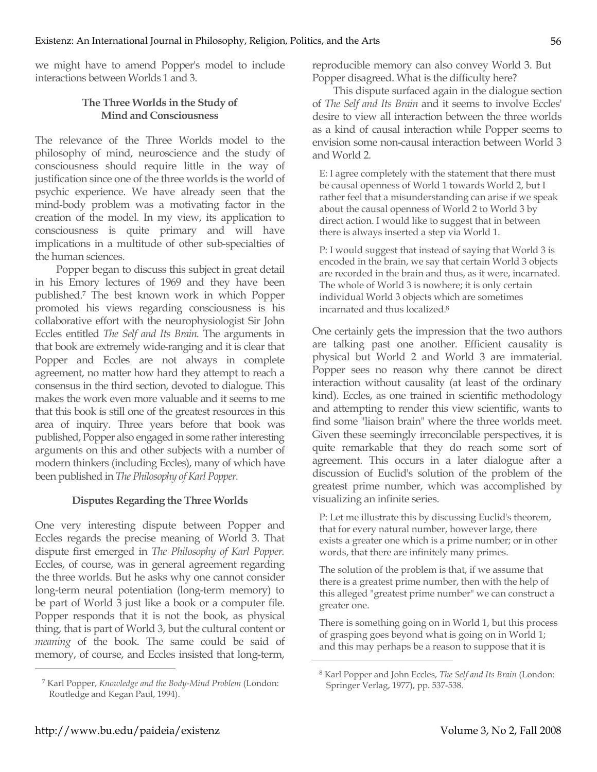we might have to amend Popper's model to include interactions between Worlds 1 and 3.

## **The Three Worlds in the Study of Mind and Consciousness**

The relevance of the Three Worlds model to the philosophy of mind, neuroscience and the study of consciousness should require little in the way of justification since one of the three worlds is the world of psychic experience. We have already seen that the mind-body problem was a motivating factor in the creation of the model. In my view, its application to consciousness is quite primary and will have implications in a multitude of other sub-specialties of the human sciences.

Popper began to discuss this subject in great detail in his Emory lectures of 1969 and they have been published.7 The best known work in which Popper promoted his views regarding consciousness is his collaborative effort with the neurophysiologist Sir John Eccles entitled *The Self and Its Brain.* The arguments in that book are extremely wide-ranging and it is clear that Popper and Eccles are not always in complete agreement, no matter how hard they attempt to reach a consensus in the third section, devoted to dialogue. This makes the work even more valuable and it seems to me that this book is still one of the greatest resources in this area of inquiry. Three years before that book was published, Popper also engaged in some rather interesting arguments on this and other subjects with a number of modern thinkers (including Eccles), many of which have been published in *The Philosophy of Karl Popper.*

## **Disputes Regarding the Three Worlds**

One very interesting dispute between Popper and Eccles regards the precise meaning of World 3. That dispute first emerged in *The Philosophy of Karl Popper.*  Eccles, of course, was in general agreement regarding the three worlds. But he asks why one cannot consider long-term neural potentiation (long-term memory) to be part of World 3 just like a book or a computer file. Popper responds that it is not the book, as physical thing, that is part of World 3, but the cultural content or *meaning* of the book. The same could be said of memory, of course, and Eccles insisted that long-term,

7 Karl Popper, *Knowledge and the Body-Mind Problem* (London: Routledge and Kegan Paul, 1994).

reproducible memory can also convey World 3. But Popper disagreed. What is the difficulty here?

This dispute surfaced again in the dialogue section of *The Self and Its Brain* and it seems to involve Eccles' desire to view all interaction between the three worlds as a kind of causal interaction while Popper seems to envision some non-causal interaction between World 3 and World 2.

E: I agree completely with the statement that there must be causal openness of World 1 towards World 2, but I rather feel that a misunderstanding can arise if we speak about the causal openness of World 2 to World 3 by direct action. I would like to suggest that in between there is always inserted a step via World 1.

P: I would suggest that instead of saying that World 3 is encoded in the brain, we say that certain World 3 objects are recorded in the brain and thus, as it were, incarnated. The whole of World 3 is nowhere; it is only certain individual World 3 objects which are sometimes incarnated and thus localized.8

One certainly gets the impression that the two authors are talking past one another. Efficient causality is physical but World 2 and World 3 are immaterial. Popper sees no reason why there cannot be direct interaction without causality (at least of the ordinary kind). Eccles, as one trained in scientific methodology and attempting to render this view scientific, wants to find some "liaison brain" where the three worlds meet. Given these seemingly irreconcilable perspectives, it is quite remarkable that they do reach some sort of agreement. This occurs in a later dialogue after a discussion of Euclid's solution of the problem of the greatest prime number, which was accomplished by visualizing an infinite series.

P: Let me illustrate this by discussing Euclid's theorem, that for every natural number, however large, there exists a greater one which is a prime number; or in other words, that there are infinitely many primes.

The solution of the problem is that, if we assume that there is a greatest prime number, then with the help of this alleged "greatest prime number" we can construct a greater one.

There is something going on in World 1, but this process of grasping goes beyond what is going on in World 1; and this may perhaps be a reason to suppose that it is

 $\overline{a}$ 

<sup>8</sup> Karl Popper and John Eccles, *The Self and Its Brain* (London: Springer Verlag, 1977), pp. 537-538.